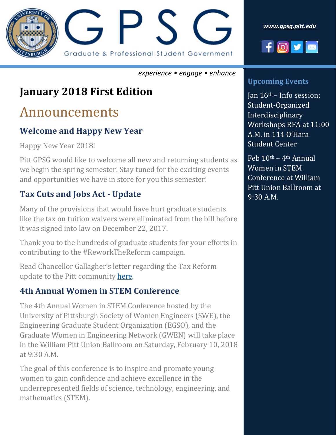

*[www.gpsg.pitt.edu](http://www.gpsg.pitt.edu/)*



#### *experience • engage • enhance*

## **January 2018 First Edition**

## Announcements

#### **Welcome and Happy New Year**

Happy New Year 2018!

Pitt GPSG would like to welcome all new and returning students as we begin the spring semester! Stay tuned for the exciting events and opportunities we have in store for you this semester!

#### **Tax Cuts and Jobs Act - Update**

Many of the provisions that would have hurt graduate students like the tax on tuition waivers were eliminated from the bill before it was signed into law on December 22, 2017.

Thank you to the hundreds of graduate students for your efforts in contributing to the #ReworkTheReform campaign.

Read Chancellor Gallagher's letter regarding the Tax Reform update to the Pitt community [here.](http://www.chancellor.pitt.edu/spotlight/federal-tax-reform-update)

#### **4th Annual Women in STEM Conference**

The 4th Annual Women in STEM Conference hosted by the University of Pittsburgh Society of Women Engineers (SWE), the Engineering Graduate Student Organization (EGSO), and the Graduate Women in Engineering Network (GWEN) will take place in the William Pitt Union Ballroom on Saturday, February 10, 2018 at 9:30 A.M.

The goal of this conference is to inspire and promote young women to gain confidence and achieve excellence in the underrepresented fields of science, technology, engineering, and mathematics (STEM).

#### **Upcoming Events**

Jan  $16<sup>th</sup>$  – Info session: Student-Organized **Interdisciplinary** Workshops RFA at 11:00 A.M. in 114 O'Hara Student Center

Feb  $10^{\text{th}} - 4^{\text{th}}$  Annual Women in STEM Conference at William Pitt Union Ballroom at 9:30 A.M.